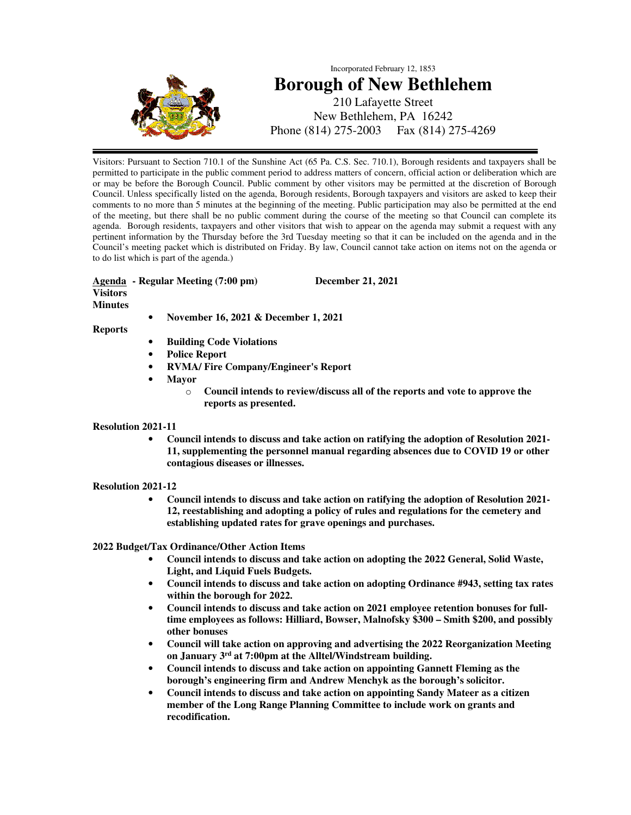

# Incorporated February 12, 1853 **Borough of New Bethlehem**  210 Lafayette Street

New Bethlehem, PA 16242 Phone (814) 275-2003 Fax (814) 275-4269

Visitors: Pursuant to Section 710.1 of the Sunshine Act (65 Pa. C.S. Sec. 710.1), Borough residents and taxpayers shall be permitted to participate in the public comment period to address matters of concern, official action or deliberation which are or may be before the Borough Council. Public comment by other visitors may be permitted at the discretion of Borough Council. Unless specifically listed on the agenda, Borough residents, Borough taxpayers and visitors are asked to keep their comments to no more than 5 minutes at the beginning of the meeting. Public participation may also be permitted at the end of the meeting, but there shall be no public comment during the course of the meeting so that Council can complete its agenda. Borough residents, taxpayers and other visitors that wish to appear on the agenda may submit a request with any pertinent information by the Thursday before the 3rd Tuesday meeting so that it can be included on the agenda and in the Council's meeting packet which is distributed on Friday. By law, Council cannot take action on items not on the agenda or to do list which is part of the agenda.)

#### **Agenda - Regular Meeting (7:00 pm) December 21, 2021 Visitors Minutes**

• **November 16, 2021 & December 1, 2021** 

**Reports** 

- **Building Code Violations**
- **Police Report**
- **RVMA/ Fire Company/Engineer's Report**
- **Mayor** 
	- o **Council intends to review/discuss all of the reports and vote to approve the reports as presented.**

# **Resolution 2021-11**

• **Council intends to discuss and take action on ratifying the adoption of Resolution 2021- 11, supplementing the personnel manual regarding absences due to COVID 19 or other contagious diseases or illnesses.** 

# **Resolution 2021-12**

• **Council intends to discuss and take action on ratifying the adoption of Resolution 2021- 12, reestablishing and adopting a policy of rules and regulations for the cemetery and establishing updated rates for grave openings and purchases.** 

**2022 Budget/Tax Ordinance/Other Action Items** 

- **Council intends to discuss and take action on adopting the 2022 General, Solid Waste, Light, and Liquid Fuels Budgets.**
- **Council intends to discuss and take action on adopting Ordinance #943, setting tax rates within the borough for 2022.**
- **Council intends to discuss and take action on 2021 employee retention bonuses for fulltime employees as follows: Hilliard, Bowser, Malnofsky \$300 – Smith \$200, and possibly other bonuses**
- **Council will take action on approving and advertising the 2022 Reorganization Meeting on January 3rd at 7:00pm at the Alltel/Windstream building.**
- **Council intends to discuss and take action on appointing Gannett Fleming as the borough's engineering firm and Andrew Menchyk as the borough's solicitor.**
- **Council intends to discuss and take action on appointing Sandy Mateer as a citizen member of the Long Range Planning Committee to include work on grants and recodification.**